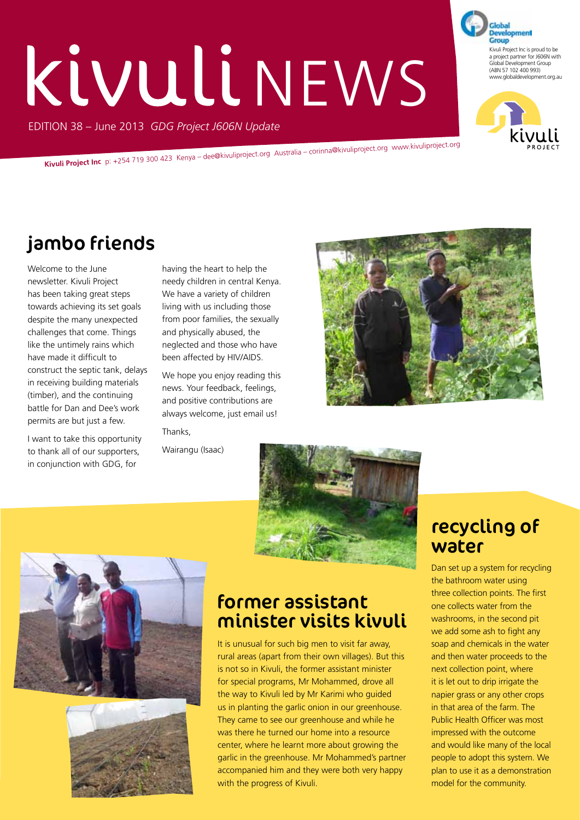# Kivuli NEWS

EDITION 38 – June 2013 *GDG Project J606N Update*

**Kivuli Project Inc** p: +254 719 300 423 Kenya – dee@kivuliproject.org Australia – corinna@kivuliproject.org www.kivuliproject.org

## jambo friends

Welcome to the June newsletter. Kivuli Project has been taking great steps towards achieving its set goals despite the many unexpected challenges that come. Things like the untimely rains which have made it difficult to construct the septic tank, delays in receiving building materials (timber), and the continuing battle for Dan and Dee's work permits are but just a few.

I want to take this opportunity to thank all of our supporters, in conjunction with GDG, for

having the heart to help the needy children in central Kenya. We have a variety of children living with us including those from poor families, the sexually and physically abused, the neglected and those who have been affected by HIV/AIDS.

We hope you enjoy reading this news. Your feedback, feelings, and positive contributions are always welcome, just email us! Thanks,

Wairangu (Isaac)







#### former assistant minister visits kivuli

It is unusual for such big men to visit far away, rural areas (apart from their own villages). But this is not so in Kivuli, the former assistant minister for special programs, Mr Mohammed, drove all the way to Kivuli led by Mr Karimi who guided us in planting the garlic onion in our greenhouse. They came to see our greenhouse and while he was there he turned our home into a resource center, where he learnt more about growing the garlic in the greenhouse. Mr Mohammed's partner accompanied him and they were both very happy with the progress of Kivuli.

#### recycling of water

Dan set up a system for recycling the bathroom water using three collection points. The first one collects water from the washrooms, in the second pit we add some ash to fight any soap and chemicals in the water and then water proceeds to the next collection point, where it is let out to drip irrigate the napier grass or any other crops in that area of the farm. The Public Health Officer was most impressed with the outcome and would like many of the local people to adopt this system. We plan to use it as a demonstration model for the community.



Development Group Kivuli Project Inc is proud to be a project partner for J606N with Global Development Group (ABN 57 102 400 993) www.globaldevelopment.org.au

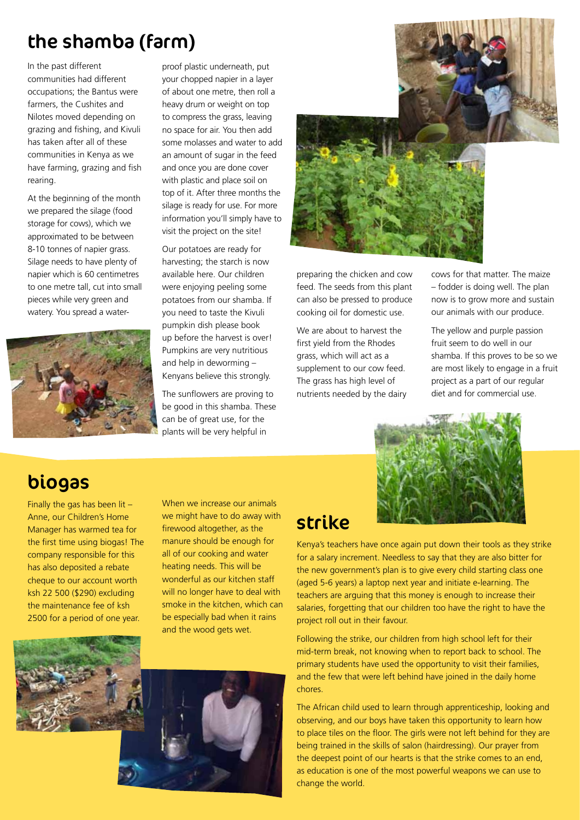### the shamba (farm)

In the past different communities had different occupations; the Bantus were farmers, the Cushites and Nilotes moved depending on grazing and fishing, and Kivuli has taken after all of these communities in Kenya as we have farming, grazing and fish rearing.

At the beginning of the month we prepared the silage (food storage for cows), which we approximated to be between 8-10 tonnes of napier grass. Silage needs to have plenty of napier which is 60 centimetres to one metre tall, cut into small pieces while very green and watery. You spread a water-



proof plastic underneath, put your chopped napier in a layer of about one metre, then roll a heavy drum or weight on top to compress the grass, leaving no space for air. You then add some molasses and water to add an amount of sugar in the feed and once you are done cover with plastic and place soil on top of it. After three months the silage is ready for use. For more information you'll simply have to visit the project on the site!

Our potatoes are ready for harvesting; the starch is now available here. Our children were enjoying peeling some potatoes from our shamba. If you need to taste the Kivuli pumpkin dish please book up before the harvest is over! Pumpkins are very nutritious and help in deworming – Kenyans believe this strongly.

The sunflowers are proving to be good in this shamba. These can be of great use, for the plants will be very helpful in



preparing the chicken and cow feed. The seeds from this plant can also be pressed to produce cooking oil for domestic use.

We are about to harvest the first yield from the Rhodes grass, which will act as a supplement to our cow feed. The grass has high level of nutrients needed by the dairy cows for that matter. The maize – fodder is doing well. The plan now is to grow more and sustain our animals with our produce.

The yellow and purple passion fruit seem to do well in our shamba. If this proves to be so we are most likely to engage in a fruit project as a part of our regular diet and for commercial use.



#### biogas

Finally the gas has been lit – Anne, our Children's Home Manager has warmed tea for the first time using biogas! The company responsible for this has also deposited a rebate cheque to our account worth ksh 22 500 (\$290) excluding the maintenance fee of ksh 2500 for a period of one year.

When we increase our animals we might have to do away with firewood altogether, as the manure should be enough for all of our cooking and water heating needs. This will be wonderful as our kitchen staff will no longer have to deal with smoke in the kitchen, which can be especially bad when it rains and the wood gets wet.



#### strike

Kenya's teachers have once again put down their tools as they strike for a salary increment. Needless to say that they are also bitter for the new government's plan is to give every child starting class one (aged 5-6 years) a laptop next year and initiate e-learning. The teachers are arguing that this money is enough to increase their salaries, forgetting that our children too have the right to have the project roll out in their favour.

Following the strike, our children from high school left for their mid-term break, not knowing when to report back to school. The primary students have used the opportunity to visit their families, and the few that were left behind have joined in the daily home chores.

The African child used to learn through apprenticeship, looking and observing, and our boys have taken this opportunity to learn how to place tiles on the floor. The girls were not left behind for they are being trained in the skills of salon (hairdressing). Our prayer from the deepest point of our hearts is that the strike comes to an end, as education is one of the most powerful weapons we can use to change the world.